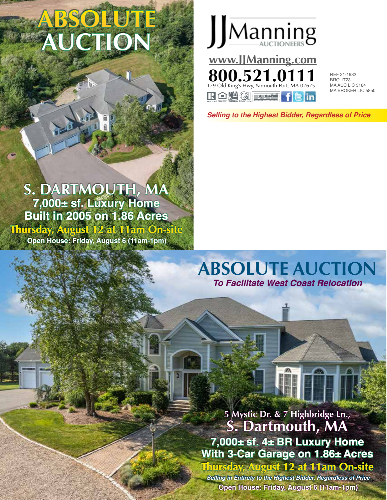# **ABSOLUTE AUCTION**

## **S. DARTMOUTH, MA 7,000± sf. Luxury Home Built in 2005 on 1.86 Acres Thursday, August 12 at 11am On-site Open House: Friday, August 6 (11am-1pm)**



REF 21-1932 BRO 1723 MA AUC LIC 3184 MA BROKER LIC 5850

*Selling to the Highest Bidder, Regardless of Price*

# **ABSOLUTE AUCTION** *To Facilitate West Coast Relocation*

## **5 Mystic Dr. & 7 Highbridge Ln., S. Dartmouth, MA 7,000± sf. 4± BR Luxury Home With 3-Car Garage on 1.86± Acres Thursday, August 12 at 11am On-site**

*Selling in Entirety to the Highest Bidder, Regardless of Price* **Open House: Friday, August 6 (11am-1pm)**